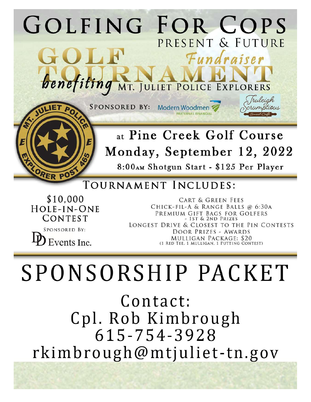

Monday, September 12, 2022 8:00AM Shotgun Start - \$125 Per Player

## TOURNAMENT INCLUDES:

\$10,000 HOLE-IN-ONE CONTEST

ORER PO

**SPONSORED BY:** Events Inc.

**CART & GREEN FEES** CHICK-FIL-A & RANGE BALLS @ 6:30A PREMIUM GIFT BAGS FOR GOLFERS - 1ST & 2ND PRIZES LONGEST DRIVE & CLOSEST TO THE PIN CONTESTS DOOR PRIZES - AWARDS MULLIGAN PACKAGE: \$20 (1 RED TEE, 1 MULLIGAN, 1 PUTTING CONTEST)

SPONSORSHIP PACKET

Contact: Cpl. Rob Kimbrough 615-754-3928 rkimbrough@mtjuliet-tn.gov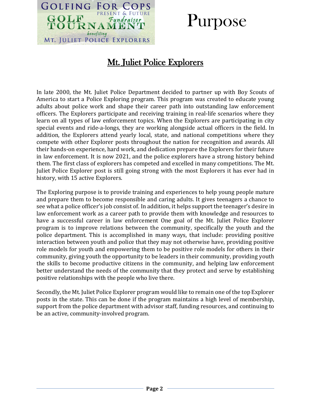

## Purpose

### Mt. Juliet Police Explorers

In late 2000, the Mt. Juliet Police Department decided to partner up with Boy Scouts of America to start a Police Exploring program. This program was created to educate young adults about police work and shape their career path into outstanding law enforcement officers. The Explorers participate and receiving training in real-life scenarios where they learn on all types of law enforcement topics. When the Explorers are participating in city special events and ride-a-longs, they are working alongside actual officers in the field. In addition, the Explorers attend yearly local, state, and national competitions where they compete with other Explorer posts throughout the nation for recognition and awards. All their hands-on experience, hard work, and dedication prepare the Explorers for their future in law enforcement. It is now 2021, and the police explorers have a strong history behind them. The first class of explorers has competed and excelled in many competitions. The Mt. Juliet Police Explorer post is still going strong with the most Explorers it has ever had in history, with 15 active Explorers.

The Exploring purpose is to provide training and experiences to help young people mature and prepare them to become responsible and caring adults. It gives teenagers a chance to see what a police officer's job consist of. In addition, it helps support the teenager's desire in law enforcement work as a career path to provide them with knowledge and resources to have a successful career in law enforcement One goal of the Mt. Juliet Police Explorer program is to improve relations between the community, specifically the youth and the police department. This is accomplished in many ways, that include: providing positive interaction between youth and police that they may not otherwise have, providing positive role models for youth and empowering them to be positive role models for others in their community, giving youth the opportunity to be leaders in their community, providing youth the skills to become productive citizens in the community, and helping law enforcement better understand the needs of the community that they protect and serve by establishing positive relationships with the people who live there.

Secondly, the Mt. Juliet Police Explorer program would like to remain one of the top Explorer posts in the state. This can be done if the program maintains a high level of membership, support from the police department with advisor staff, funding resources, and continuing to be an active, community-involved program.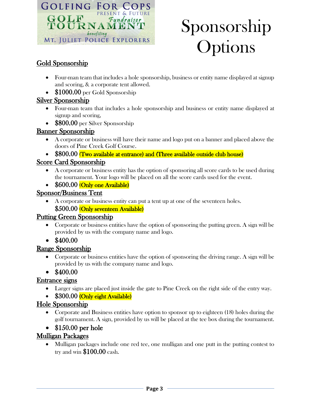

# Sponsorship Options

#### Gold Sponsorship

- Four-man team that includes a hole sponsorship, business or entity name displayed at signup and scoring, & a corporate tent allowed.
- \$1000.00 per Gold Sponsorship

#### Silver Sponsorship

- Four-man team that includes a hole sponsorship and business or entity name displayed at signup and scoring,
- \$800.00 per Silver Sponsorship

#### Banner Sponsorship

- A corporate or business will have their name and logo put on a banner and placed above the doors of Pine Creek Golf Course.
- \$800.00 (Two available at entrance) and (Three available outside club house)

#### Score Card Sponsorship

- A corporate or business entity has the option of sponsoring all score cards to be used during the tournament. Your logo will be placed on all the score cards used for the event.
- \$600.00 (Only one Available)

#### Sponsor/Business Tent

• A corporate or business entity can put a tent up at one of the seventeen holes.

#### \$500.00 (Only seventeen Available)

#### Putting Green Sponsorship

- Corporate or business entities have the option of sponsoring the putting green. A sign will be provided by us with the company name and logo.
- $$400.00$

#### Range Sponsorship

- Corporate or business entities have the option of sponsoring the driving range. A sign will be provided by us with the company name and logo.
- $$400.00$

#### Entrance signs

- Larger signs are placed just inside the gate to Pine Creek on the right side of the entry way.
- \$300.00 (Only eight Available)

#### Hole Sponsorship

- Corporate and Business entities have option to sponsor up to eighteen (18) holes during the golf tournament. A sign, provided by us will be placed at the tee box during the tournament.
- \$150.00 per hole

#### Mulligan Packages

• Mulligan packages include one red tee, one mulligan and one putt in the putting contest to try and win \$100.00 cash.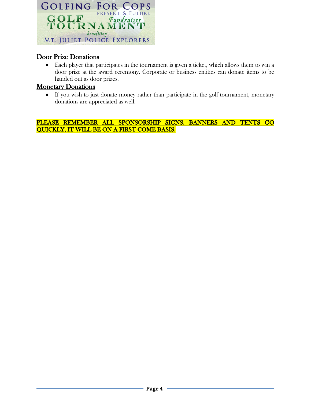

#### Door Prize Donations

• Each player that participates in the tournament is given a ticket, which allows them to win a door prize at the award ceremony. Corporate or business entities can donate items to be handed out as door prizes.

#### Monetary Donations

• If you wish to just donate money rather than participate in the golf tournament, monetary donations are appreciated as well.

PLEASE REMEMBER ALL SPONSORSHIP SIGNS, BANNERS AND TENTS GO QUICKLY, IT WILL BE ON A FIRST COME BASIS.